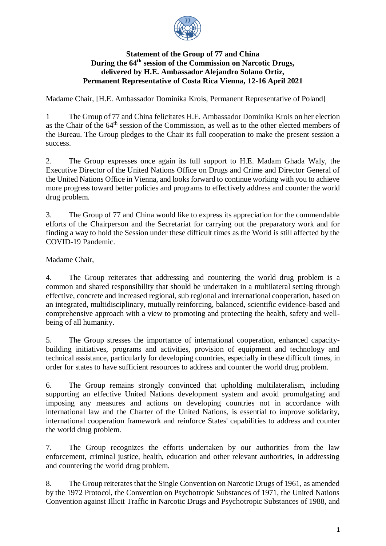

## **Statement of the Group of 77 and China During the 64th session of the Commission on Narcotic Drugs, delivered by H.E. Ambassador Alejandro Solano Ortiz, Permanent Representative of Costa Rica Vienna, 12-16 April 2021**

Madame Chair, [H.E. Ambassador Dominika Krois, Permanent Representative of Poland]

1 The Group of 77 and China felicitates H.E. Ambassador Dominika Krois on her election as the Chair of the 64th session of the Commission, as well as to the other elected members of the Bureau. The Group pledges to the Chair its full cooperation to make the present session a success.

2. The Group expresses once again its full support to H.E. Madam Ghada Waly, the Executive Director of the United Nations Office on Drugs and Crime and Director General of the United Nations Office in Vienna, and looks forward to continue working with you to achieve more progress toward better policies and programs to effectively address and counter the world drug problem.

3. The Group of 77 and China would like to express its appreciation for the commendable efforts of the Chairperson and the Secretariat for carrying out the preparatory work and for finding a way to hold the Session under these difficult times as the World is still affected by the COVID-19 Pandemic.

Madame Chair,

4. The Group reiterates that addressing and countering the world drug problem is a common and shared responsibility that should be undertaken in a multilateral setting through effective, concrete and increased regional, sub regional and international cooperation, based on an integrated, multidisciplinary, mutually reinforcing, balanced, scientific evidence-based and comprehensive approach with a view to promoting and protecting the health, safety and wellbeing of all humanity.

5. The Group stresses the importance of international cooperation, enhanced capacitybuilding initiatives, programs and activities, provision of equipment and technology and technical assistance, particularly for developing countries, especially in these difficult times, in order for states to have sufficient resources to address and counter the world drug problem.

6. The Group remains strongly convinced that upholding multilateralism, including supporting an effective United Nations development system and avoid promulgating and imposing any measures and actions on developing countries not in accordance with international law and the Charter of the United Nations, is essential to improve solidarity, international cooperation framework and reinforce States' capabilities to address and counter the world drug problem.

7. The Group recognizes the efforts undertaken by our authorities from the law enforcement, criminal justice, health, education and other relevant authorities, in addressing and countering the world drug problem.

8. The Group reiterates that the Single Convention on Narcotic Drugs of 1961, as amended by the 1972 Protocol, the Convention on Psychotropic Substances of 1971, the United Nations Convention against Illicit Traffic in Narcotic Drugs and Psychotropic Substances of 1988, and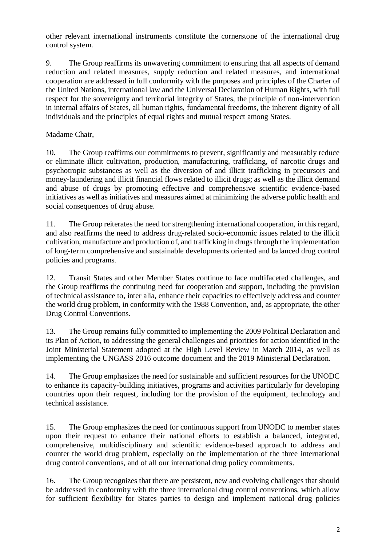other relevant international instruments constitute the cornerstone of the international drug control system.

9. The Group reaffirms its unwavering commitment to ensuring that all aspects of demand reduction and related measures, supply reduction and related measures, and international cooperation are addressed in full conformity with the purposes and principles of the Charter of the United Nations, international law and the Universal Declaration of Human Rights, with full respect for the sovereignty and territorial integrity of States, the principle of non-intervention in internal affairs of States, all human rights, fundamental freedoms, the inherent dignity of all individuals and the principles of equal rights and mutual respect among States.

## Madame Chair,

10. The Group reaffirms our commitments to prevent, significantly and measurably reduce or eliminate illicit cultivation, production, manufacturing, trafficking, of narcotic drugs and psychotropic substances as well as the diversion of and illicit trafficking in precursors and money-laundering and illicit financial flows related to illicit drugs; as well as the illicit demand and abuse of drugs by promoting effective and comprehensive scientific evidence-based initiatives as well as initiatives and measures aimed at minimizing the adverse public health and social consequences of drug abuse.

11. The Group reiterates the need for strengthening international cooperation, in this regard, and also reaffirms the need to address drug-related socio-economic issues related to the illicit cultivation, manufacture and production of, and trafficking in drugs through the implementation of long-term comprehensive and sustainable developments oriented and balanced drug control policies and programs.

12. Transit States and other Member States continue to face multifaceted challenges, and the Group reaffirms the continuing need for cooperation and support, including the provision of technical assistance to, inter alia, enhance their capacities to effectively address and counter the world drug problem, in conformity with the 1988 Convention, and, as appropriate, the other Drug Control Conventions.

13. The Group remains fully committed to implementing the 2009 Political Declaration and its Plan of Action, to addressing the general challenges and priorities for action identified in the Joint Ministerial Statement adopted at the High Level Review in March 2014, as well as implementing the UNGASS 2016 outcome document and the 2019 Ministerial Declaration.

14. The Group emphasizes the need for sustainable and sufficient resources for the UNODC to enhance its capacity-building initiatives, programs and activities particularly for developing countries upon their request, including for the provision of the equipment, technology and technical assistance.

15. The Group emphasizes the need for continuous support from UNODC to member states upon their request to enhance their national efforts to establish a balanced, integrated, comprehensive, multidisciplinary and scientific evidence-based approach to address and counter the world drug problem, especially on the implementation of the three international drug control conventions, and of all our international drug policy commitments.

16. The Group recognizes that there are persistent, new and evolving challenges that should be addressed in conformity with the three international drug control conventions, which allow for sufficient flexibility for States parties to design and implement national drug policies